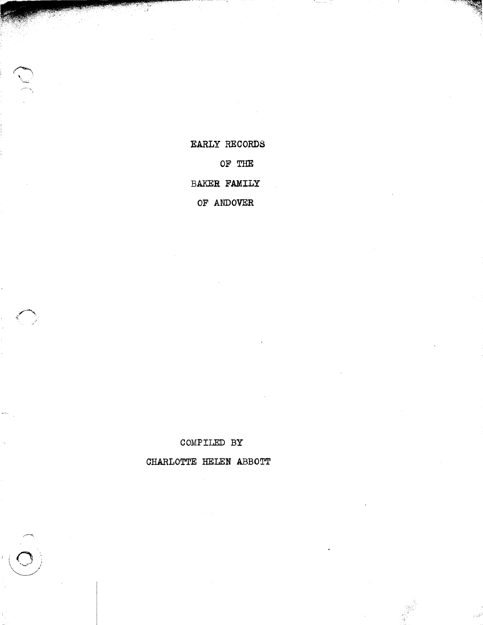CHARLOTTE HELEN ABBOTT

COMPILED BY

BAKER FAMILY OF ANDOVER

OF THE

EARLY RECORDS

<u> a strandardina e de c</u>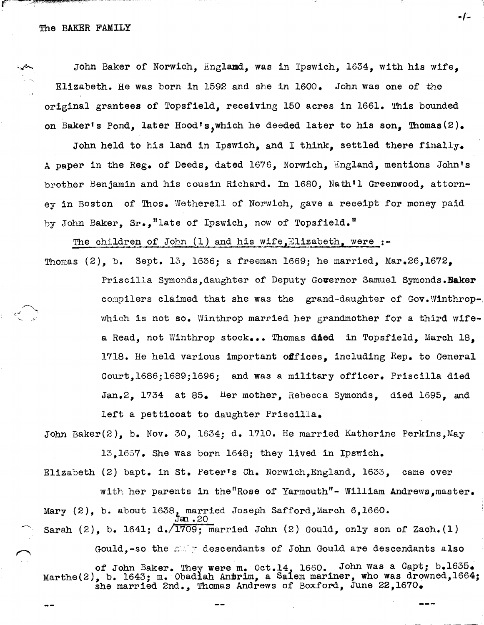John Baker of Norwich, Englamd, was in Ipswich, 1634, with his wife, Elizabeth. He was born in 1592 and she in 1600. John was one of the original grantees of Topsfield, receiving 150 acres in 1661. This bounded on Baker's Pond, later Hood's, which he deeded later to his son, Thomas(2).

John held to his land in IpSWich, and I think, settled there finally. A paper in the Reg. of Deeds, dated 1676, Norwich, England, mentions John's brother Benjamin and his cousin Richard. In 1680, Nath'l Greenwood, attorn $e_{\nabla}$  in Boston of Thos. Wetherell of Norwich, gave a receipt for money paid by John Baker, Sr., "late of Ipswich, now of Topsfield."

The children of John (1) and his wife, Elizabeth, were :-

Thomas  $(2)$ , b. Sept. 13, 1636; a freeman 1669; he married, Mar.26,1672. Priscilla Symonds.daughter of Deputy Governor Samuel Symonds. Eaker compilers claimed that she was the grand-daughter of Gov. Winthropwhich is not so. Winthrop married her grandmother for a third wifea Read, not Winthrop stock... Thomas died in Topsfield, March 18. 1718. He held various important offices, including  $Rep_{\bullet}$  to General Court,1686;1689;1696; and was a military officer. Priscilla died Jan.2, 1734 at 85. Her mother, Rebecca Symonds, died 1695. and left a petticoat to daughter Priscilla.

John Baker(2), b. Nov. 30, 1634; d. 1710. He married Katherine Perkins, May 13.1667. She was born 1648; they lived in Ipswich.

Elizabeth (2) bapt. in st. Peter's Ch. Norwich,England, 1633, came over with her parents in the"Rose of Yarmouth"- William Andrews, master. Mary  $(2)$ , b. about  $1638$ , married Joseph Safford, March 6,1660. Jan .20 Sarah (2), b. 1641; *d./1709;* married John (2) Gould, only son of Zach.(l)

Gould,-so the  $m^*$  descendants of John Gould are descendants also

of John Baker. They were m. Oct.14, 1660. John was a Capt; b.1635. Marthe(2), b. 1643; m. Obadiah Antrim, a Salem mariner, who was drowned, 1664; she married 2nd., Thomas Andrews of Boxford, June 22,1670.

*-t-*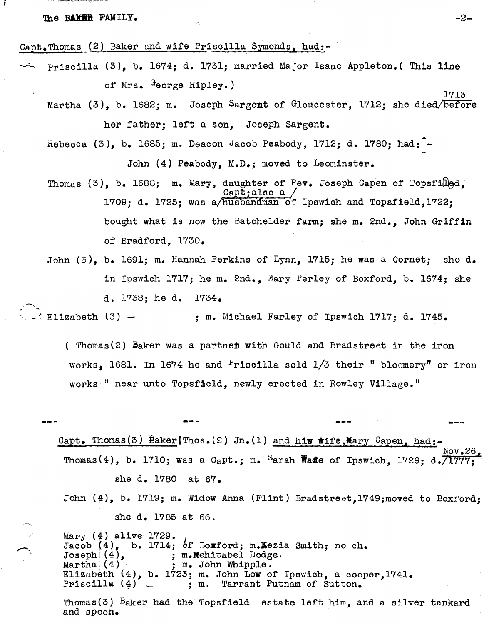## The **BAXER** FAMILY.  $-2-$

*r-* ~'-"-';=~;"""~"~~.--'~-~----'~.

r

## Capt. Thomas (2) Baker and wife Priscilla Symonds, had:-

~, Priscilla (3), b. 1674; d. 1731; married Major Isaac Appleton.( This line of Mrs. George Ripley.)

Martha (3), b. 1682; m. Joseph Sargent of Gloucester, 1712; she died/before her father; left a son, Joseph Sargent.

Rebecca  $(3)$ , b. 1685; m. Deacon Jacob Peabody, 1712; d. 1780; had: -

John (4) Peabody, M.D.; moved to Leominster.

- Thomas (3), b. 1688; m. Mary, daughter of Rev. Joseph Capen of Topsfilled, Capt;also a 1709; d. 1725; was a/husbandman of Ipswich and Topsfield, 1722; bought what is now the Batchelder farm; she m. 2nd., John Griffin of Bradford, 1730.
- John (3), b. 1691; m. Hannah Perkins of Lynn, 1715; he was a Cornet; she d. in Ipswich 1717; he m. 2nd.,  $Mary$  Perley of Boxford, b. 1674; she d. 1738; he d. 1734.

 $\overline{\phantom{a}}$  Elizabeth (3)  $-$  ; m. Michael Farley of Ipswich 1717; d. 1745.

( Thomas $(2)$  Baker was a partner with Gould and Bradstreet in the iron works, 1681. In 1674 he and  $r$ iscilla sold  $1/3$  their "bloomery" or iron works " near unto Topsfield, newly erected in Rowley Village."

**---** Capt. Thomas(3) Baker(Thos.(2) Jn.(1) and him wife, Mary Capen, had:- $Nov<sub>•</sub>26$ , Thomas(4), b. 1710; was a Capt.; m. Sarah Wade of Ipswich, 1729; d.  $\overline{71777}$ ; she d. 1780 at 67. John (4), b. 1719; m. Widow Anna (Flint) Bradstreet,1749;moved to Boxford;

she d. 1785 at 66.

Mary  $(4)$  alive 1729. Jacob  $(4)$ , b. 1714; of Boxford; m. Kezia Smith; no ch.  $\texttt{Joseph}[(4)$ ,  $-$  ; m. Mehitabel Dodge. Martha  $(4)$  - ; m. John Whipple. Elizabeth  $(4)$ , b. 1723; m. John Low of Ipswich, a cooper, 1741.<br>Priscilla  $(4)$  \_ ; m. Tarrant Putnam of Sutton. ; m. Tarrant Putnam of Sutton.

Thomas(3)  $B_{\text{ak}}$ er had the Topsfield estate left him, and a silver tankard and spoon.

1713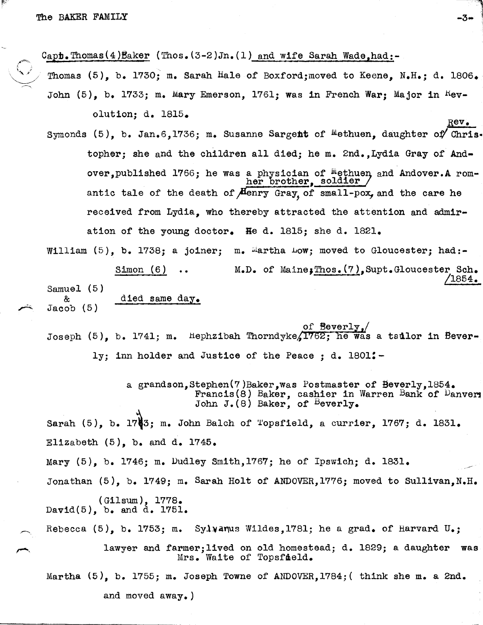Jacob (5)

 $\ell = 3$ 

Capt.Thomas(4)Baker (Thos.(3-2)Jn.(1) and wife Sarah Wade,had:-

Thomas  $(5)$ , b. 1730; m. Sarah Hale of Boxford;moved to Keene, N.H.; d. 1806. John (5), b. 1733; m. Mary Emerson, 1761; was in French War; Major in hevolution; d. 1815.

Rev.

-3-

Symonds  $(5)$ , b. Jan.6,1736; m. Susanne Sargent of Methuen, daughter of Chris. topher; she and the children all died; he m. 2nd.,Lydia Gray of Andover, published 1766; he was a physician of Methuen and Andover.A romher brother, soldier antic tale of the death of  $\mu$ enry Gray of small-pox, and the care he received from Lydia, who thereby attracted the attention and admiration of the young doctor. He d. 1815; she d. 1821.

William  $(5)$ , b. 1738; a joiner; m.  $\frac{1}{2}$  artha  $\frac{1}{2}$  moved to Gloucester; had:-

Simon (6) .. M.D. of Maine; Thos. (7), Supt. Gloucester Sch. /1854. Samuel (5) & died same day.

of Beverly,<br>Joseph (5), b. 1741; m. Hephzibah Thorndyke, 1762; he was a tadlor in Beverly; inn holder and Justice of the Peace; d. 1801:-

> a grandson, Stephen(7) Baker, was Postmaster of Beverly, 1854. Francis(8) Baker, cashier in Warren Bank of Danvers John J.(8) Baker, of <sup>B</sup>everly.

Sarah (5), b. 1783; m. John Balch of Topsfield, a currier, 1767; d. 1831. Elizabeth  $(5)$ , b. and d. 1745.

Mary (5), b. 1746; m. Dudley Smith,1767; he of Ipswich; d. 1831.

Jonathan (5), b. 1749; m. Sarah Holt of ANDOVER, 1776; moved to Sullivan, N.H.

(Gilsum), 1778. David $(5)$ , b. and d. 1751.

Rebecca (5), b. 1753; m. Sylvanus Wildes,1781; he a grad. of Harvard U.;

lawyer and farmer;lived on old homestead; d. 1829; a daughter was Mrs. Waite of Topsfield.

Martha  $(5)$ , b. 1755; m. Joseph Towne of ANDOVER, 1784; (think she m. a 2nd. and moved away.)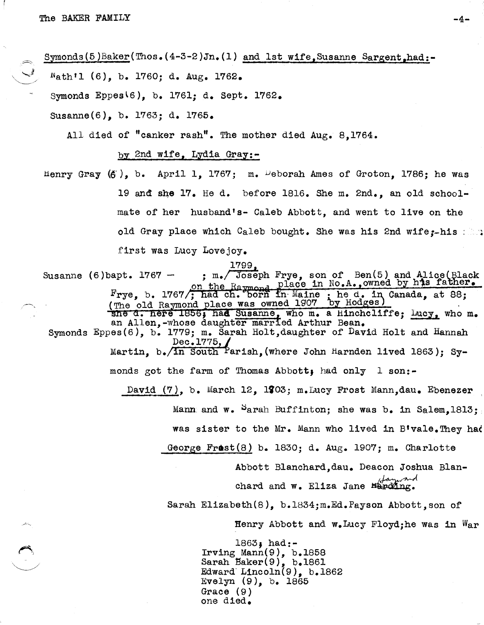Symonds(5)Baker(Thos.(4-3-2)Jn.(1) and 1st wife,Susanne Sargent,had:- $Nath'1 (6)$ , b. 1760; d. Aug. 1762. Symonds Eppesl6), b. 1761; d. sept. 1762. Susanne(6), b. 1763; d. 1765. All died of "canker rash". The mother died Aug. 8,1764. by 2nd wife, Lydia Gray:-Henry Gray  $(\mathcal{E})$ , b. April 1, 1767; m. Deborah Ames of Groton, 1786; he was 19 and she 17. He d. before 1816. She m. 2nd., an old schoolmate of her husband's- Caleb Abbott, and went to live on the old Gray place which  $\texttt{Cache}$  bought. She was his 2nd wife;-his  $:\mathbb{R}^n$ first was Lucy Lovejoy. 1799, Susanne (6)bapt. 1767 - ; m. Joseph Frye, son of Ben(5) and Alice(Black on the Raymond place in No.A., owned by his father.<br>Frye, b. 1767/; had ch. born in Maine; he d. in Canada, at 88; (The old Raymond place was owned 1907 by Hodges) , the old Raymond place was owned 1907 by Hodges) an Allen,-whose daughter married Arthur Bean. Symonds Eppes(6), b. 1779; m. Sarah Holt,daughter of David Holt and Hannah Dec.  $1775, t$ Martin, b./in South Parish, (where John Harnden lived 1863); Symonds got the farm of Thomas Abbott, had only 1 son:-David (7), b. March 12, 1903; m.Lucy Frost Mann,dau. Ebenezer Mann and w. Sarah Buffinton; she was b. in Salem,1813; was sister to the Mr. Mann who lived in B'vale. They had George Frast $(8)$  b. 1830; d. Aug. 1907; m. Charlotte Abbott Blanchard,dau. Deacon Joshua Blanchard and  $w$ . Eliza Jane  $\lim_{\alpha \to 0}$ Sarah Elizabeth(8), b.1834;m.Ed.Payson Abbott,son of Henry Abbott and w.Lucy Floyd;he was in War 1863; had:- Irving Mann $(9)$ , b.1858 Sarah Baker(9), b.1861 Edward Lincoln(9),  $b.1862$ Evelyn (9), b. 1865 Grace (9) one died.

 $-4-$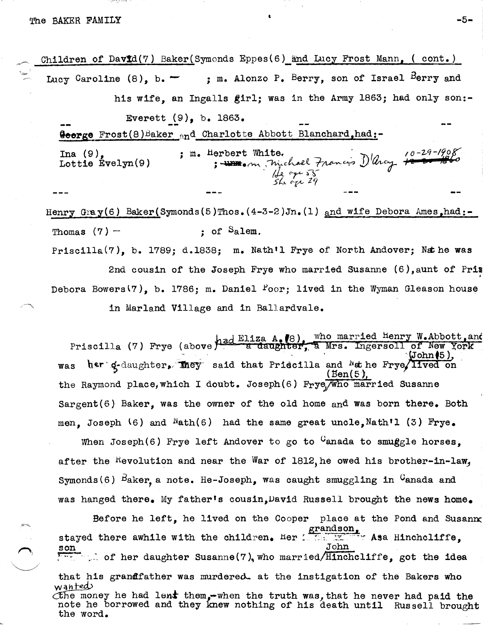## The BAKER FAMILY  $-5-$

Children of Dav $id(7)$  Baker(Symonds Eppes(6) and Lucy Frost Mann, ( cont.) Lucy Caroline  $(8)$ , b.  $-$  ; m. Alonzo P. Berry, son of Israel Berry and his wife, an Ingalls girl; was in the Army 1863; had only son:- Everett  $(9)$ , b. 1863. **George** Frost(8)Baker and Charlotte Abbott Blanchard,had:-Ina (9),  $\qquad \qquad ;$  m. Herbert White. Lottie Evelyn(9) 10 - 29 - 1908<br><del>12 = 2 = 186</del>0

Henry Gray(6) Baker(Symonds(5)Thos.(4-3-2)Jn.(1) and wife Debora Ames,had:-Thomas  $(7)$  - ; of Salem.

 $Priscilla(7)$ , b. 1789; d.1838; m. Nath'l Frye of North Andover; Nathe was

2nd cousin of the Joseph Frye who married Susanne (6), aunt of Pris Debora Bowers $(7)$ , b. 1786; m. Daniel  $P_{\text{OOT}}$ ; lived in the Wyman Gleason house in Marland Village and in Ballardvale.

priscilla (7) Frye (above had Eliza A. (8). who married henry W.Abbott, and Priscilla (7) Frye (above had a: daughter, a: Mrs. Ingersoll of New York llage and in Ballardvale.<br>(above the Eliza A.(8), who married Henry W.Abboth<br>above deliza A.(8), who married Henry W.Abboth<br>5)<br>mey said that Priscilla and Nathe Frye, lived on was her q-daughter. Iney said that Priscilla and <sup>N</sup>et he Frye (John 5).  $(5en(5);$ the Raymond place, which I doubt. Joseph(6) Frye,  $\sqrt{w}$ ho married Susanne Sargent(6) Baker, was the owner of the old home and was born there. Both men. Joseph  $(6)$  and  $Nath(6)$  had the same great uncle. Nath'l  $(3)$  Frye.

When Joseph(6) Frye left Andover to go to <sup>C</sup>anada to smuggle horses, after the Revolution and near the War of 1812, he owed his brother-in-law, Symonds(6)  $B_{\text{aker}}$  a note. He-Joseph, was caught smuggling in  $C_{\text{anada}}$  and was hanged there. My father's cousin, David Russell brought the news home.

Before he left, he lived on the Cooper place at the Pond and Susan $\kappa$ stayed there awhile with the children. Here  $\frac{\text{grandson}}{\text{mean}}$  Asa Hinchcliffe, son  $\overline{r}$  . of her daughter Susanne(7), who married/Hinchcliffe, got the idea John that his grandfather was murdered. at the instigation of the Bakers who wanted  $\overline{\text{the money}}$  he had lent them, when the truth was, that he never had paid the note he borrowed and they knew nothing of his death until Russell brought the word.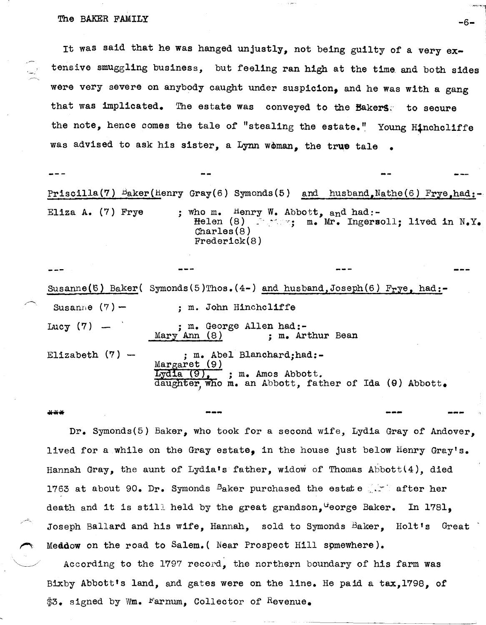## The BAKER FAMILY  $-6-$

It was said that he was hanged unjustly, not being guilty of a very  $ex$ tensive smuggling business, but feeling ran high at the tima and both sides were very severe on anybody caught under suspicion, and he was with a gang that was implicated. The estate was conveyed to the Bakers; to secure the note, hence comes the tale of "stealing the estate." Young Hinchcliffe was advised to ask his sister, a Lynn woman, the true tale

Priscilla(7)  $B_{\text{aker}}(\text{Henry Gray}(6)$  Symonds(5) and husband, Nathe(6) Frye, had:-Eliza A. (7) Frye : who m. Henry W. Abbott, and had:-<br>Helen (8) Frye : m. Mr. Ingers ; m. Mr. Ingersoll; lived in N.Y. Charles(8) Frederick(8)

Susanne(6) Baker( Symonds(5)Thos.(4-) and husband,Joseph(6)  $F<sub>r</sub>ye$ , had:-Susanne  $(7)$  – Lucy  $(7)$  — Elizabeth  $(7)$  -; m. John Hinchcliffe ; m. George Allen had:-<br>Mary Ann (8) : m. Ar ; m. Arthur Bean ; m. Abel Blanchard; had:-<br>Margaret (9) Lydia  $(9)$ , ; m. Amos Abbott. daughter who m. an Abbott, father of Ida  $(9)$  Abbott.

\*\*\*

Dr. Symonds(5) Baker, who took for a second wife, Lydia Gray of Andover, lived for a while on the Gray estate, in the house just below Henry Gray's. Hannah Gray, the aunt of Lydia's father, widow of Thomas Abbott(4), died 1763 at about 90. Dr. Symonds  $B_{ak}$ er purchased the estate  $\mathbb{R}^N$  after her death and it is still held by the great grandson,  $G$  ieorge Baker. In 1781, Joseph Ballard and his wife, Hannah, sold to Symonds Baker, Holt's Great Meddow on the road to Salem. ( Near Prospect Hill spmewhere).

**---**

According to the 1797 record, the northern boundary of his farm was Bixby Abbott's land, and gates were on the line. He paid a tax,1798, of  $$3.$  signed by Wm. Farnum, Collector of Revenue.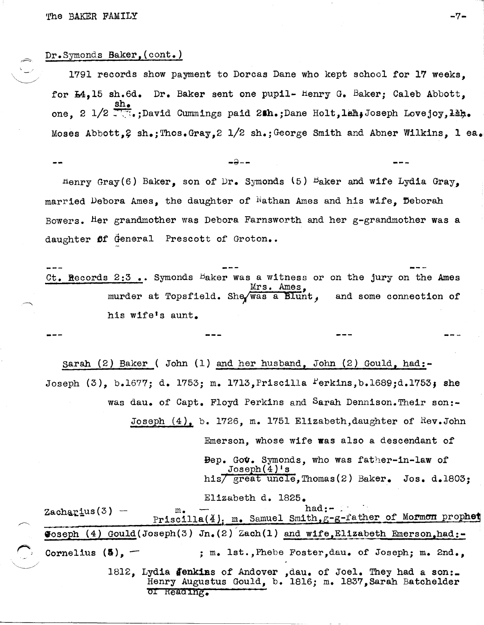## Dr.Symonds Baker, (cont.)

1791 records show payment to Dorcas Dane who kept school for 17 weeks, for  $\text{H}_{1}$ 15 sh.6d. Dr. Baker sent one pupil- Henry G. Baker; Caleb Abbott. she one, 2 1/2  $\Box$  ;David Cummings paid 2sh.;Dane Holt,lah,Joseph Lovejoy,1sh. Moses Abbott, 2 sh.;Thos.Gray, 2 1/2 sh.;George Smith and Abner Wilkins, 1 ea.

-~--

 $r_{\text{r}}$  Gray(6) Baker, son of Dr. Symonds (5)  $r_{\text{r}}$  and wife Lydia Gray, married Debora Ames, the daughter of Nathan Ames and his wife, Deborah Bowers. Her grandmother was Debora Farnsworth and her g-grandmother was a daughter of General Prescott of Groton..

Ct. Records  $2:3$  . Symonds  $B$ aker was a witness or on the jury on the Ames Mrs. Ames, murder at Topsfield. She was a Blunt, and some connection of his wife's aunt.

sarah (2) Baker ( John (1) and her husband, John (2) Gould, had:- Joseph  $(3)$ , b.1677; d. 1753; m. 1713, Priscilla Perkins,b.1689;d.1753; she was dau. of Capt. Floyd Perkins and Sarah Dennison.Their son:-Joseph (4), b. 1726, m. 1751 Elizabeth,daughter of Rev.John Emerson, whose wife was also a descendant of

> Bep. Gov. Symonds, who was father-in-law of  $Joseph(4)$ <sup>1</sup>s his/ great uncle, Thomas (2) Baker. Jos. d.1803;

Elizabeth d. 1825.

Zacharius (3) - m. - had: - . had: - . had: - . Priscilla (4): m. Samuel Smith,  $g-g$ -father of Mormon prophet Goseph (4) Gould(Joseph(3) Jn.(2) Zach(1) and wife, Elizabeth Emerson, had:-Cornelius  $(5)$ ,  $-$  ; m. lst., Phebe Foster, dau. of Joseph; m. 2nd., 1812, Lydia denkins of Andover ,dau. of Joel. They had a son: Henry Augustus Gould, b. 1816; m. 1837, Sarah Batchelder  $\sigma$ r Reading.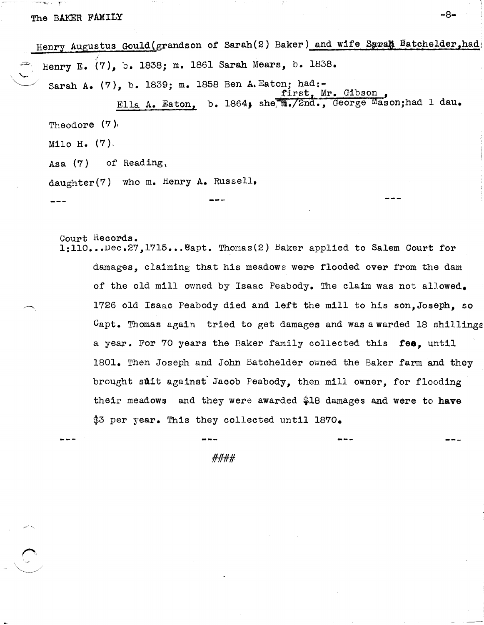# The BAKER FAMILY  $-8-$

'-

Henry Augustus Gould(grandson of Sarah(2) Baker) and wife Suran Batchelder,had Henry E. (7), b. 1838; m. 1861 Sarah Mears, b. 1838. Sarah A. (7), b. 1839; m. 1858 Ben A.Eaton; had:first, Mr. Gibson ,<br>Ella A. Eaton, b. 1864; she,12nd., George Mason;had 1 dau. Theodore  $(7)$ , Milo H. (7). Asa (7) of Reading, daughter(7) who m. Henry A. Russell.

Court Records.

1:110 ••• Vec.27,l715 ••• 8apt. Thomas(2) Baker applied to Salem Court for damages, claiming that his meadows were flooded over from the dam of the old mill owned by Isaac Peabody. The claim was not allowed. 1726 old Isaac Peabody died and left the mill to his son, Joseph, so Capt. Thomas again tried to get damages and was a warded 18 shillings a year. For 70 years the Baker family collected this fea, until 1801. Then Joseph and John Batchelder owned the Baker farm and they brought suit against Jacob Peabody, then mill owner, for flooding their meadows and they were awarded \$18 damages and were to have \$3 per year. This they collected until 1870.

####